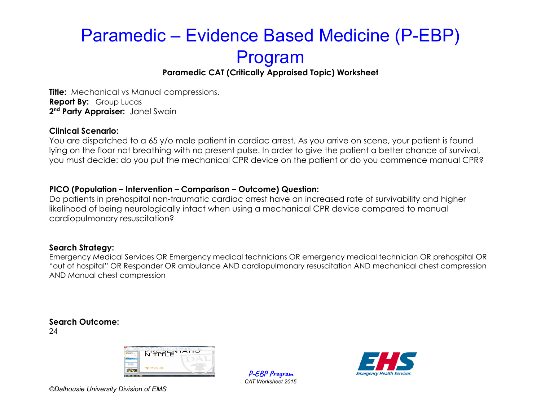### **Paramedic CAT (Critically Appraised Topic) Worksheet**

**Title:** Mechanical vs Manual compressions. **Report By:** Group Lucas **2 nd Party Appraiser:** Janel Swain

#### **Clinical Scenario:**

You are dispatched to a 65 y/o male patient in cardiac arrest. As you arrive on scene, your patient is found lying on the floor not breathing with no present pulse. In order to give the patient a better chance of survival, you must decide: do you put the mechanical CPR device on the patient or do you commence manual CPR?

#### **PICO (Population – Intervention – Comparison – Outcome) Question:**

Do patients in prehospital non-traumatic cardiac arrest have an increased rate of survivability and higher likelihood of being neurologically intact when using a mechanical CPR device compared to manual cardiopulmonary resuscitation?

### **Search Strategy:**

Emergency Medical Services OR Emergency medical technicians OR emergency medical technician OR prehospital OR "out of hospital" OR Responder OR ambulance AND cardiopulmonary resuscitation AND mechanical chest compression AND Manual chest compression

### **Search Outcome:**

24



**P-EBP Program** *CAT Worksheet 2015*

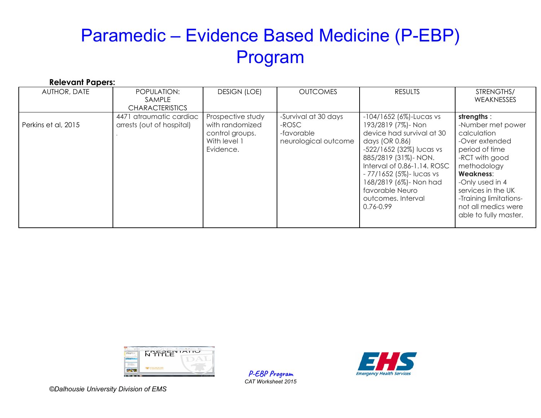| <b>Relevant Papers:</b> |                                                         |                                                                                      |                                                                     |                                                                                                                                                                                                                                                                                                |                                                                                                                                                                                                                                                            |
|-------------------------|---------------------------------------------------------|--------------------------------------------------------------------------------------|---------------------------------------------------------------------|------------------------------------------------------------------------------------------------------------------------------------------------------------------------------------------------------------------------------------------------------------------------------------------------|------------------------------------------------------------------------------------------------------------------------------------------------------------------------------------------------------------------------------------------------------------|
| AUTHOR, DATE            | POPULATION:<br><b>SAMPLE</b><br><b>CHARACTERISTICS</b>  | <b>DESIGN (LOE)</b>                                                                  | <b>OUTCOMES</b>                                                     | <b>RESULTS</b>                                                                                                                                                                                                                                                                                 | STRENGTHS/<br><b>WEAKNESSES</b>                                                                                                                                                                                                                            |
| Perkins et al, 2015     | atraumatic cardiac<br>4471<br>arrests (out of hospital) | Prospective study<br>with randomized<br>control groups.<br>With level 1<br>Evidence. | -Survival at 30 days<br>-ROSC<br>-favorable<br>neurological outcome | $-104/1652$ (6%)-Lucas vs<br>193/2819 (7%)- Non<br>device had survival at 30<br>days (OR 0.86)<br>-522/1652 (32%) lucas vs<br>885/2819 (31%)- NON.<br>Interval of 0.86-1.14, ROSC<br>- 77/1652 (5%) - lucas vs<br>168/2819 (6%)- Non had<br>favorable Neuro<br>outcomes. Interval<br>0.76-0.99 | strengths:<br>-Number met power<br>calculation<br>-Over extended<br>period of time<br>-RCT with good<br>methodology<br><b>Weakness:</b><br>-Only used in 4<br>services in the UK<br>-Training limitations-<br>not all medics were<br>able to fully master. |



**P-EBP Program** *CAT Worksheet 2015*

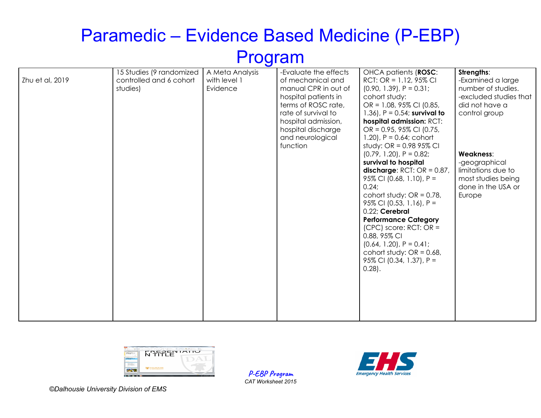|                 | 15 Studies (9 randomized | A Meta Analysis | -Evaluate the effects | OHCA patients (ROSC:             | Strengths:             |
|-----------------|--------------------------|-----------------|-----------------------|----------------------------------|------------------------|
| Zhu et al, 2019 | controlled and 6 cohort  | with level 1    | of mechanical and     | RCT: OR = $1.12$ , 95% CI        | -Examined a large      |
|                 | studies)                 | Evidence        | manual CPR in out of  | $(0.90, 1.39)$ , P = 0.31;       | number of studies.     |
|                 |                          |                 | hospital patients in  | cohort study:                    | -excluded studies that |
|                 |                          |                 | terms of ROSC rate,   | OR = 1.08, 95% CI (0.85,         | did not have a         |
|                 |                          |                 | rate of survival to   | 1.36), $P = 0.54$ ; survival to  | control group          |
|                 |                          |                 | hospital admission,   | hospital admission: RCT:         |                        |
|                 |                          |                 | hospital discharge    | OR = $0.95$ , $95\%$ CI (0.75,   |                        |
|                 |                          |                 | and neurological      | $1.20$ , $P = 0.64$ ; cohort     |                        |
|                 |                          |                 | function              | study: $OR = 0.9895\%$ CI        |                        |
|                 |                          |                 |                       | $(0.79, 1.20)$ , $P = 0.82$ ;    | Weakness:              |
|                 |                          |                 |                       | survival to hospital             | -geographical          |
|                 |                          |                 |                       | discharge: $RCT$ : $OR = 0.87$ , | limitations due to     |
|                 |                          |                 |                       | 95% CI (0.68, 1.10), $P =$       | most studies being     |
|                 |                          |                 |                       | 0.24;                            | done in the USA or     |
|                 |                          |                 |                       | cohort study: $OR = 0.78$ ,      | Europe                 |
|                 |                          |                 |                       | 95% CI (0.53, 1.16), $P =$       |                        |
|                 |                          |                 |                       | 0.22; Cerebral                   |                        |
|                 |                          |                 |                       | <b>Performance Category</b>      |                        |
|                 |                          |                 |                       | $(CPC)$ score: RCT: OR =         |                        |
|                 |                          |                 |                       | 0.88, 95% CI                     |                        |
|                 |                          |                 |                       | $(0.64, 1.20)$ , P = 0.41;       |                        |
|                 |                          |                 |                       | cohort study: $OR = 0.68$ ,      |                        |
|                 |                          |                 |                       | 95% CI (0.34, 1.37), P =         |                        |
|                 |                          |                 |                       | $0.28$ ).                        |                        |
|                 |                          |                 |                       |                                  |                        |
|                 |                          |                 |                       |                                  |                        |
|                 |                          |                 |                       |                                  |                        |
|                 |                          |                 |                       |                                  |                        |
|                 |                          |                 |                       |                                  |                        |
|                 |                          |                 |                       |                                  |                        |



**P-EBP Program** *CAT Worksheet 2015*

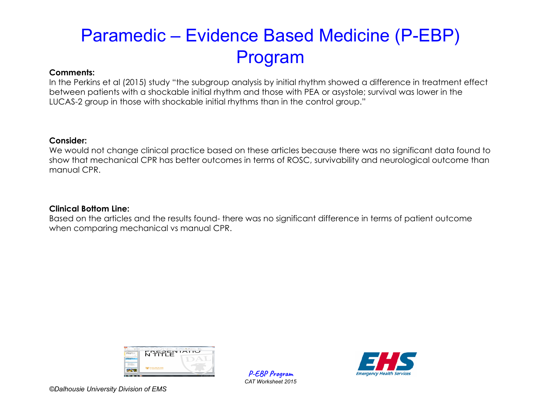#### **Comments:**

In the Perkins et al (2015) study "the subgroup analysis by initial rhythm showed a difference in treatment effect between patients with a shockable initial rhythm and those with PEA or asystole; survival was lower in the LUCAS-2 group in those with shockable initial rhythms than in the control group."

#### **Consider:**

We would not change clinical practice based on these articles because there was no significant data found to show that mechanical CPR has better outcomes in terms of ROSC, survivability and neurological outcome than manual CPR.

### **Clinical Bottom Line:**

Based on the articles and the results found- there was no significant difference in terms of patient outcome when comparing mechanical vs manual CPR.



**P-EBP Program** *CAT Worksheet 2015*